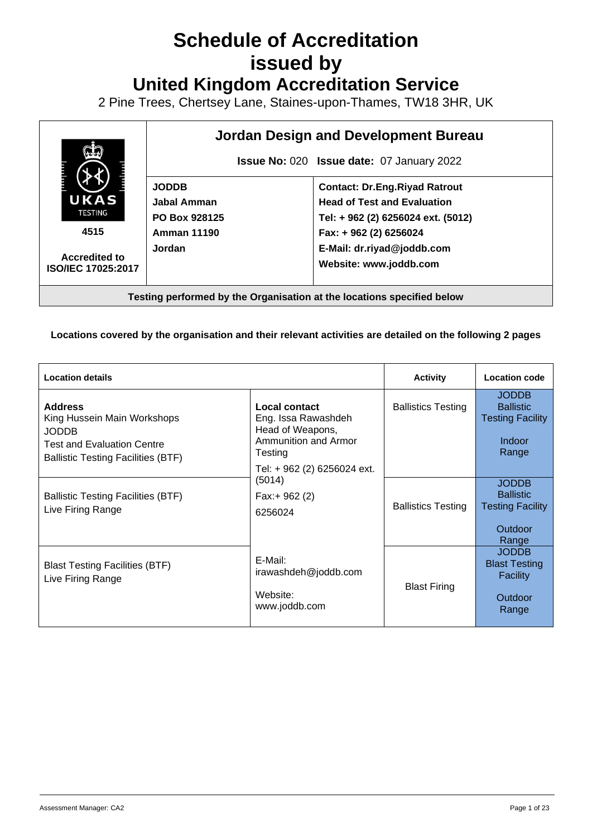# **Schedule of Accreditation issued by United Kingdom Accreditation Service**

2 Pine Trees, Chertsey Lane, Staines-upon-Thames, TW18 3HR, UK



**Testing performed by the Organisation at the locations specified below**

**Locations covered by the organisation and their relevant activities are detailed on the following 2 pages**

| <b>Location details</b>                                                                                                                         |                                                                                             | <b>Activity</b>           | <b>Location code</b>                                                                  |
|-------------------------------------------------------------------------------------------------------------------------------------------------|---------------------------------------------------------------------------------------------|---------------------------|---------------------------------------------------------------------------------------|
| <b>Address</b><br>King Hussein Main Workshops<br><b>JODDB</b><br><b>Test and Evaluation Centre</b><br><b>Ballistic Testing Facilities (BTF)</b> | Local contact<br>Eng. Issa Rawashdeh<br>Head of Weapons,<br>Ammunition and Armor<br>Testing | <b>Ballistics Testing</b> | <b>JODDB</b><br><b>Ballistic</b><br><b>Testing Facility</b><br><b>Indoor</b><br>Range |
| <b>Ballistic Testing Facilities (BTF)</b><br>Live Firing Range                                                                                  | Tel: + 962 (2) 6256024 ext.<br>(5014)<br>Fax: $+ 962(2)$<br>6256024                         | <b>Ballistics Testing</b> | <b>JODDB</b><br><b>Ballistic</b><br><b>Testing Facility</b><br>Outdoor<br>Range       |
| <b>Blast Testing Facilities (BTF)</b><br>Live Firing Range                                                                                      | E-Mail:<br>irawashdeh@joddb.com<br>Website:<br>www.joddb.com                                | <b>Blast Firing</b>       | <b>JODDB</b><br><b>Blast Testing</b><br><b>Facility</b><br>Outdoor<br>Range           |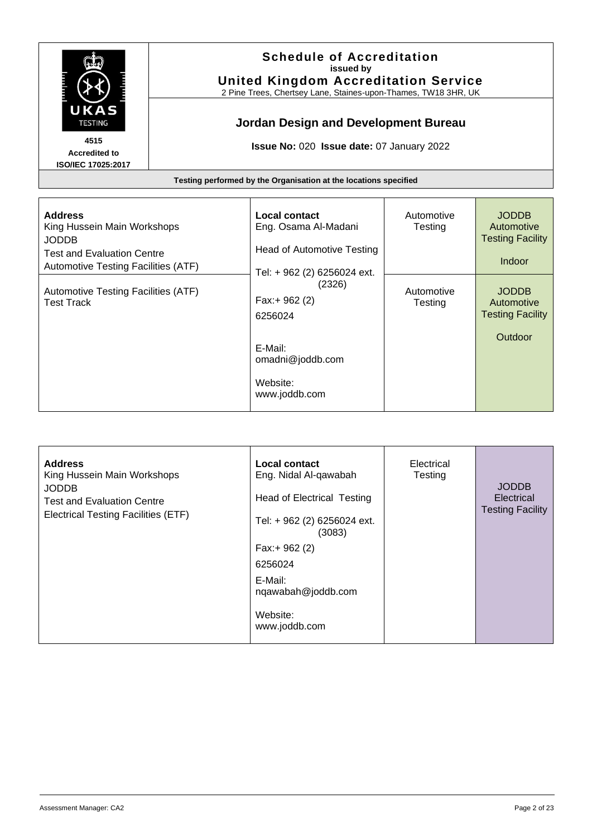

#### **Schedule of Accreditation issued by United Kingdom Accreditation Service**

2 Pine Trees, Chertsey Lane, Staines-upon-Thames, TW18 3HR, UK

# **Jordan Design and Development Bureau**

**Issue No:** 020 **Issue date:** 07 January 2022

| <b>Address</b><br>King Hussein Main Workshops<br><b>JODDB</b><br><b>Test and Evaluation Centre</b><br>Automotive Testing Facilities (ATF) | Local contact<br>Eng. Osama Al-Madani<br>Head of Automotive Testing<br>Tel: + 962 (2) 6256024 ext. | Automotive<br>Testing | <b>JODDB</b><br>Automotive<br><b>Testing Facility</b><br><b>Indoor</b> |
|-------------------------------------------------------------------------------------------------------------------------------------------|----------------------------------------------------------------------------------------------------|-----------------------|------------------------------------------------------------------------|
| Automotive Testing Facilities (ATF)<br>Test Track                                                                                         | (2326)<br>Fax:+ 962 (2)<br>6256024<br>E-Mail:<br>omadni@joddb.com<br>Website:<br>www.joddb.com     | Automotive<br>Testing | <b>JODDB</b><br>Automotive<br><b>Testing Facility</b><br>Outdoor       |

| <b>Address</b><br>King Hussein Main Workshops<br><b>JODDB</b><br><b>Test and Evaluation Centre</b><br>Electrical Testing Facilities (ETF) | Local contact<br>Eng. Nidal Al-qawabah<br><b>Head of Electrical Testing</b><br>Tel: + 962 (2) 6256024 ext.<br>(3083)<br>Fax:+ 962 (2) | Electrical<br>Testing | <b>JODDB</b><br>Electrical<br><b>Testing Facility</b> |
|-------------------------------------------------------------------------------------------------------------------------------------------|---------------------------------------------------------------------------------------------------------------------------------------|-----------------------|-------------------------------------------------------|
|                                                                                                                                           | 6256024                                                                                                                               |                       |                                                       |
|                                                                                                                                           | E-Mail:<br>nqawabah@joddb.com                                                                                                         |                       |                                                       |
|                                                                                                                                           | Website:<br>www.joddb.com                                                                                                             |                       |                                                       |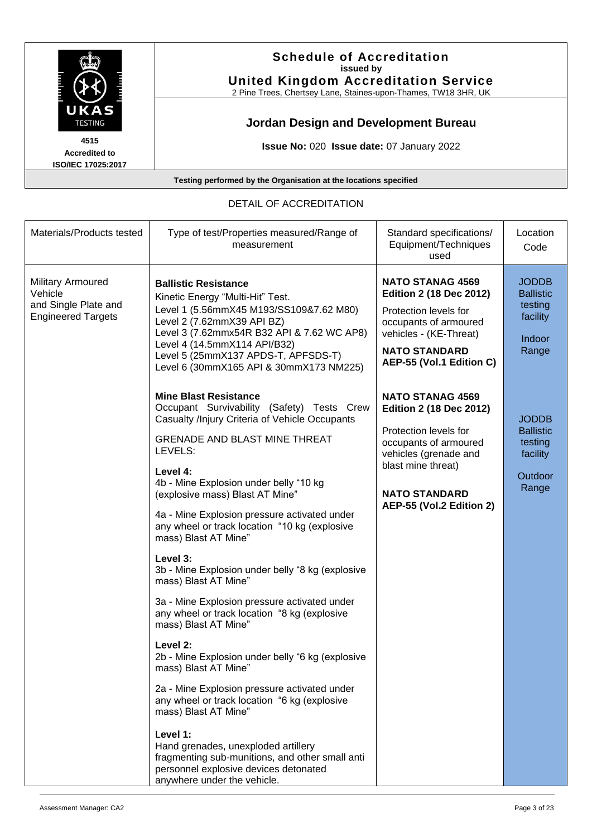

#### **Schedule of Accreditation issued by United Kingdom Accreditation Service**

2 Pine Trees, Chertsey Lane, Staines-upon-Thames, TW18 3HR, UK

# **Jordan Design and Development Bureau**

**Issue No:** 020 **Issue date:** 07 January 2022

**Testing performed by the Organisation at the locations specified**

#### Materials/Products tested | Type of test/Properties measured/Range of measurement Standard specifications/ Equipment/Techniques used **Location** Code Military Armoured Vehicle and Single Plate and Engineered Targets **Ballistic Resistance**  Kinetic Energy "Multi-Hit" Test. Level 1 (5.56mmX45 M193/SS109&7.62 M80) Level 2 (7.62mmX39 API BZ) Level 3 (7.62mmx54R B32 API & 7.62 WC AP8) Level 4 (14.5mmX114 API/B32) Level 5 (25mmX137 APDS-T, APFSDS-T) Level 6 (30mmX165 API & 30mmX173 NM225) **Mine Blast Resistance** Occupant Survivability (Safety) Tests Crew Casualty /Injury Criteria of Vehicle Occupants GRENADE AND BLAST MINE THREAT LEVELS: **Level 4:** 4b - Mine Explosion under belly "10 kg (explosive mass) Blast AT Mine" 4a - Mine Explosion pressure activated under any wheel or track location "10 kg (explosive mass) Blast AT Mine" **Level 3:** 3b - Mine Explosion under belly "8 kg (explosive mass) Blast AT Mine" 3a - Mine Explosion pressure activated under any wheel or track location "8 kg (explosive mass) Blast AT Mine" **Level 2:** 2b - Mine Explosion under belly "6 kg (explosive mass) Blast AT Mine" 2a - Mine Explosion pressure activated under any wheel or track location "6 kg (explosive mass) Blast AT Mine" L**evel 1:** Hand grenades, unexploded artillery fragmenting sub-munitions, and other small anti **NATO STANAG 4569 Edition 2 (18 Dec 2012)** Protection levels for occupants of armoured vehicles - (KE-Threat) **NATO STANDARD AEP-55 (Vol.1 Edition C) NATO STANAG 4569 Edition 2 (18 Dec 2012)** Protection levels for occupants of armoured vehicles (grenade and blast mine threat) **NATO STANDARD AEP-55 (Vol.2 Edition 2)** JODDB **Ballistic** testing facility Indoor **Range** JODDB **Ballistic** testing facility **Outdoor** Range

personnel explosive devices detonated

anywhere under the vehicle.

#### DETAIL OF ACCREDITATION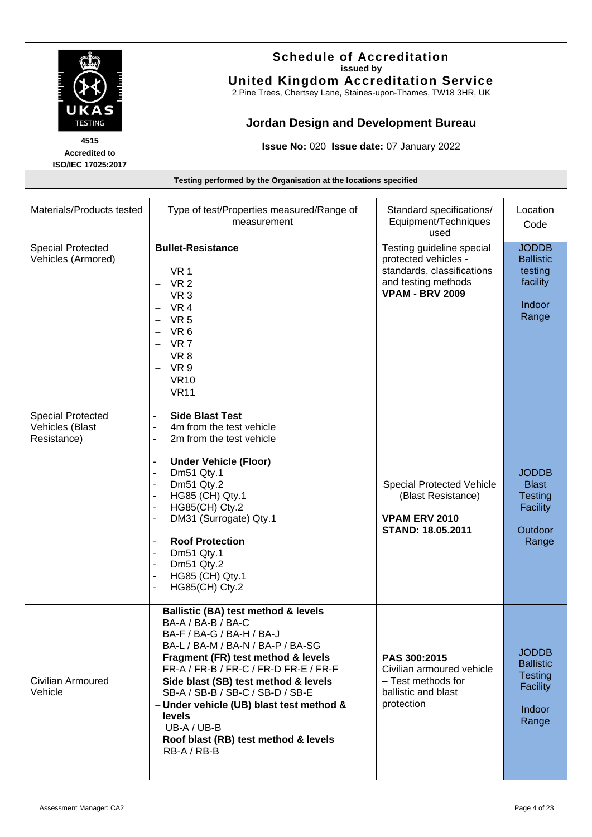

**Schedule of Accreditation issued by United Kingdom Accreditation Service**

2 Pine Trees, Chertsey Lane, Staines-upon-Thames, TW18 3HR, UK

### **Jordan Design and Development Bureau**

**Issue No:** 020 **Issue date:** 07 January 2022

**Testing performed by the Organisation at the locations specified**

| Materials/Products tested                                  | Type of test/Properties measured/Range of<br>measurement                                                                                                                                                                                                                                                                                                                                                                   | Standard specifications/<br>Equipment/Techniques<br>used                                                                         | Location<br>Code                                                                         |
|------------------------------------------------------------|----------------------------------------------------------------------------------------------------------------------------------------------------------------------------------------------------------------------------------------------------------------------------------------------------------------------------------------------------------------------------------------------------------------------------|----------------------------------------------------------------------------------------------------------------------------------|------------------------------------------------------------------------------------------|
| <b>Special Protected</b><br>Vehicles (Armored)             | <b>Bullet-Resistance</b><br>VR 1<br>VR <sub>2</sub><br>VR <sub>3</sub><br><b>VR 4</b><br>VR <sub>5</sub><br>VR 6<br>VR 7<br>VR 8<br>VR 9<br><b>VR10</b><br><b>VR11</b>                                                                                                                                                                                                                                                     | Testing guideline special<br>protected vehicles -<br>standards, classifications<br>and testing methods<br><b>VPAM - BRV 2009</b> | <b>JODDB</b><br><b>Ballistic</b><br>testing<br>facility<br>Indoor<br>Range               |
| <b>Special Protected</b><br>Vehicles (Blast<br>Resistance) | <b>Side Blast Test</b><br>$\blacksquare$<br>4m from the test vehicle<br>2m from the test vehicle<br><b>Under Vehicle (Floor)</b><br>Dm51 Qty.1<br>Dm51 Qty.2<br>HG85 (CH) Qty.1<br>HG85(CH) Cty.2<br>DM31 (Surrogate) Qty.1<br>$\overline{\phantom{a}}$<br><b>Roof Protection</b><br>Dm51 Qty.1<br>$\overline{\phantom{a}}$<br>Dm51 Qty.2<br>HG85 (CH) Qty.1<br>HG85(CH) Cty.2                                             | Special Protected Vehicle<br>(Blast Resistance)<br><b>VPAM ERV 2010</b><br><b>STAND: 18.05.2011</b>                              | <b>JODDB</b><br><b>Blast</b><br><b>Testing</b><br><b>Facility</b><br>Outdoor<br>Range    |
| Civilian Armoured<br>Vehicle                               | - Ballistic (BA) test method & levels<br>BA-A / BA-B / BA-C<br>BA-F / BA-G / BA-H / BA-J<br>BA-L / BA-M / BA-N / BA-P / BA-SG<br>- Fragment (FR) test method & levels<br>FR-A / FR-B / FR-C / FR-D FR-E / FR-F<br>- Side blast (SB) test method & levels<br>SB-A / SB-B / SB-C / SB-D / SB-E<br>- Under vehicle (UB) blast test method &<br>levels<br>UB-A / UB-B<br>- Roof blast (RB) test method & levels<br>RB-A / RB-B | PAS 300:2015<br>Civilian armoured vehicle<br>- Test methods for<br>ballistic and blast<br>protection                             | <b>JODDB</b><br><b>Ballistic</b><br><b>Testing</b><br><b>Facility</b><br>Indoor<br>Range |

**4515 Accredited to ISO/IEC 17025:2017**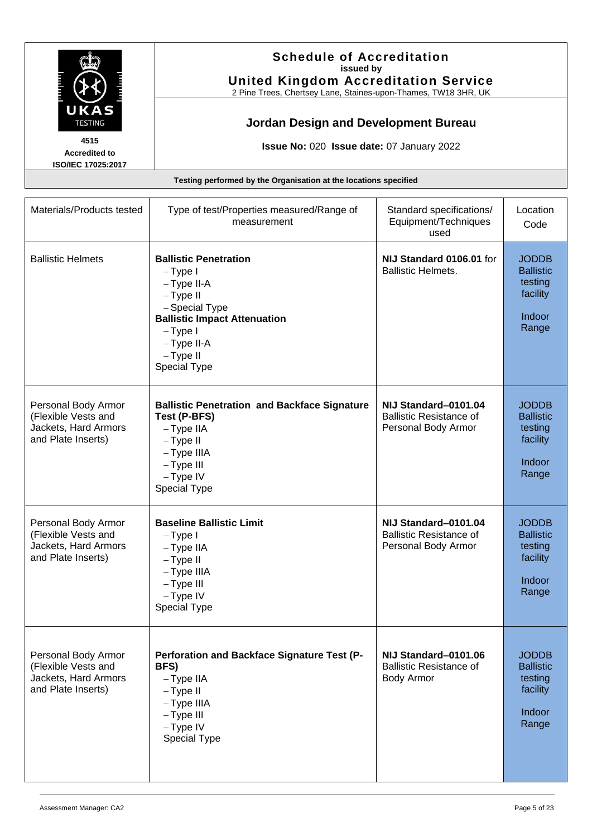

**Schedule of Accreditation issued by United Kingdom Accreditation Service**

2 Pine Trees, Chertsey Lane, Staines-upon-Thames, TW18 3HR, UK

# **Jordan Design and Development Bureau**

**Issue No:** 020 **Issue date:** 07 January 2022

| Materials/Products tested                                                                | Type of test/Properties measured/Range of<br>measurement                                                                                                                                | Standard specifications/<br>Equipment/Techniques<br>used                      | Location<br>Code                                                                  |
|------------------------------------------------------------------------------------------|-----------------------------------------------------------------------------------------------------------------------------------------------------------------------------------------|-------------------------------------------------------------------------------|-----------------------------------------------------------------------------------|
| <b>Ballistic Helmets</b>                                                                 | <b>Ballistic Penetration</b><br>$-Type I$<br>-Type II-A<br>$-Type II$<br>- Special Type<br><b>Ballistic Impact Attenuation</b><br>$-Type I$<br>-Type II-A<br>$-Type II$<br>Special Type | NIJ Standard 0106.01 for<br><b>Ballistic Helmets.</b>                         | <b>JODDB</b><br><b>Ballistic</b><br>testing<br>facility<br><b>Indoor</b><br>Range |
| Personal Body Armor<br>(Flexible Vests and<br>Jackets, Hard Armors<br>and Plate Inserts) | <b>Ballistic Penetration and Backface Signature</b><br>Test (P-BFS)<br>$-T$ ype IIA<br>$-Type II$<br>- Type IIIA<br>$-Type III$<br>$-Type IV$<br>Special Type                           | NIJ Standard-0101.04<br><b>Ballistic Resistance of</b><br>Personal Body Armor | <b>JODDB</b><br><b>Ballistic</b><br>testing<br>facility<br>Indoor<br>Range        |
| Personal Body Armor<br>(Flexible Vests and<br>Jackets, Hard Armors<br>and Plate Inserts) | <b>Baseline Ballistic Limit</b><br>$-Type I$<br>$-T$ ype IIA<br>$-Type II$<br>$-T$ ype IIIA<br>$-Type III$<br>$-Type IV$<br>Special Type                                                | NIJ Standard-0101.04<br><b>Ballistic Resistance of</b><br>Personal Body Armor | <b>JODDB</b><br><b>Ballistic</b><br>testing<br>facility<br>Indoor<br>Range        |
| Personal Body Armor<br>(Flexible Vests and<br>Jackets, Hard Armors<br>and Plate Inserts) | Perforation and Backface Signature Test (P-<br>BFS)<br>$-Type$ IIA<br>$-Type II$<br>- Type IIIA<br>$-Type III$<br>$-Type IV$<br>Special Type                                            | NIJ Standard-0101.06<br><b>Ballistic Resistance of</b><br><b>Body Armor</b>   | <b>JODDB</b><br><b>Ballistic</b><br>testing<br>facility<br>Indoor<br>Range        |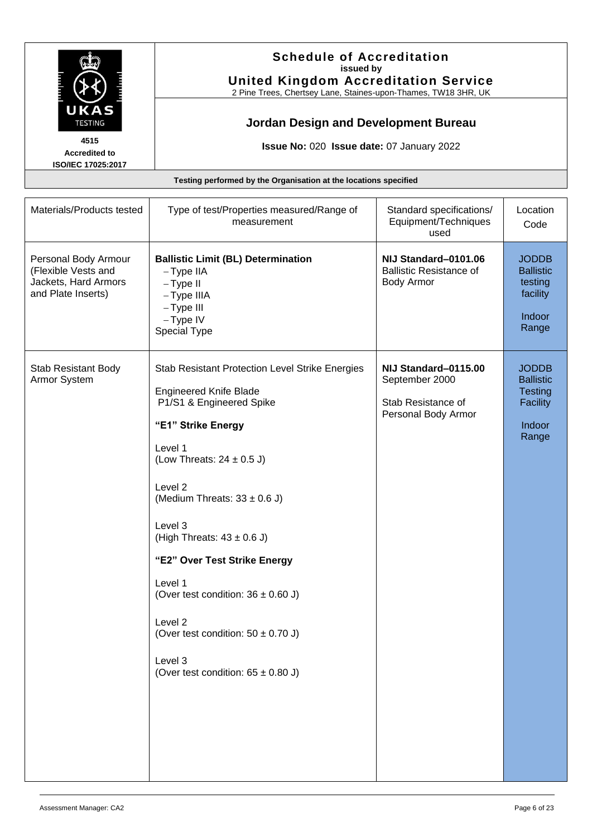

#### **Schedule of Accreditation issued by United Kingdom Accreditation Service**

2 Pine Trees, Chertsey Lane, Staines-upon-Thames, TW18 3HR, UK

# **Jordan Design and Development Bureau**

**Issue No:** 020 **Issue date:** 07 January 2022

| Materials/Products tested                                                                 | Type of test/Properties measured/Range of<br>measurement                                                                                                                                                                                                                                                                                                                                                                                                                  | Standard specifications/<br>Equipment/Techniques<br>used                            | Location<br>Code                                                                  |
|-------------------------------------------------------------------------------------------|---------------------------------------------------------------------------------------------------------------------------------------------------------------------------------------------------------------------------------------------------------------------------------------------------------------------------------------------------------------------------------------------------------------------------------------------------------------------------|-------------------------------------------------------------------------------------|-----------------------------------------------------------------------------------|
| Personal Body Armour<br>(Flexible Vests and<br>Jackets, Hard Armors<br>and Plate Inserts) | <b>Ballistic Limit (BL) Determination</b><br>$-Type$ IIA<br>$-Type II$<br>- Type IIIA<br>$-Type III$<br>$-Type IV$<br>Special Type                                                                                                                                                                                                                                                                                                                                        | NIJ Standard-0101.06<br><b>Ballistic Resistance of</b><br><b>Body Armor</b>         | <b>JODDB</b><br><b>Ballistic</b><br>testing<br>facility<br>Indoor<br>Range        |
| Stab Resistant Body<br>Armor System                                                       | Stab Resistant Protection Level Strike Energies<br><b>Engineered Knife Blade</b><br>P1/S1 & Engineered Spike<br>"E1" Strike Energy<br>Level 1<br>(Low Threats: $24 \pm 0.5$ J)<br>Level 2<br>(Medium Threats: $33 \pm 0.6$ J)<br>Level 3<br>(High Threats: $43 \pm 0.6$ J)<br>"E2" Over Test Strike Energy<br>Level 1<br>(Over test condition: $36 \pm 0.60$ J)<br>Level 2<br>(Over test condition: $50 \pm 0.70$ J)<br>Level 3<br>(Over test condition: $65 \pm 0.80$ J) | NIJ Standard-0115.00<br>September 2000<br>Stab Resistance of<br>Personal Body Armor | <b>JODDB</b><br><b>Ballistic</b><br><b>Testing</b><br>Facility<br>Indoor<br>Range |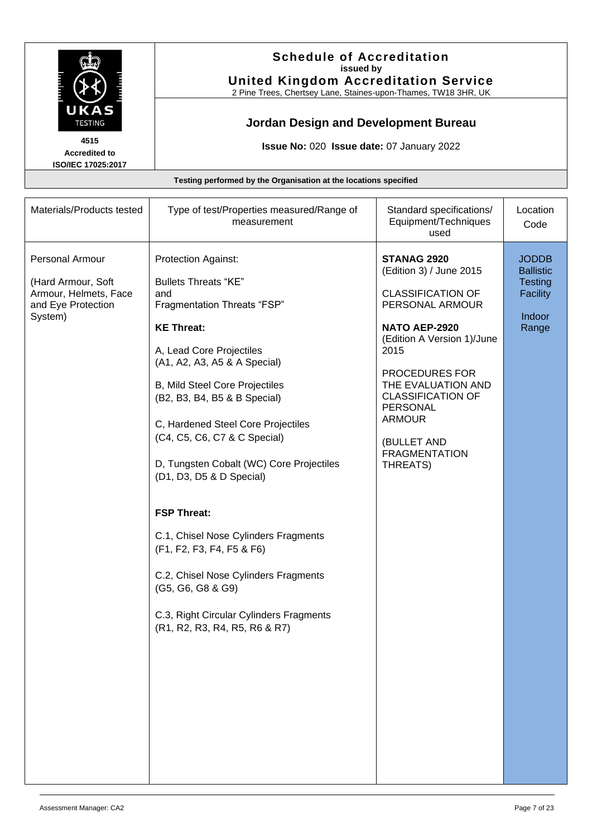

**Schedule of Accreditation issued by United Kingdom Accreditation Service**

2 Pine Trees, Chertsey Lane, Staines-upon-Thames, TW18 3HR, UK

### **Jordan Design and Development Bureau**

**Issue No:** 020 **Issue date:** 07 January 2022

**Accredited to ISO/IEC 17025:2017**

| Materials/Products tested                                                                       | Type of test/Properties measured/Range of<br>measurement                                                                                                                                                                                                                                                                                                                                                                                                                                                                                                                                                                      | Standard specifications/<br>Equipment/Techniques<br>used                                                                                                                                                                                                                                                | Location<br>Code                                                                         |
|-------------------------------------------------------------------------------------------------|-------------------------------------------------------------------------------------------------------------------------------------------------------------------------------------------------------------------------------------------------------------------------------------------------------------------------------------------------------------------------------------------------------------------------------------------------------------------------------------------------------------------------------------------------------------------------------------------------------------------------------|---------------------------------------------------------------------------------------------------------------------------------------------------------------------------------------------------------------------------------------------------------------------------------------------------------|------------------------------------------------------------------------------------------|
| Personal Armour<br>(Hard Armour, Soft<br>Armour, Helmets, Face<br>and Eye Protection<br>System) | Protection Against:<br><b>Bullets Threats "KE"</b><br>and<br>Fragmentation Threats "FSP"<br><b>KE Threat:</b><br>A, Lead Core Projectiles<br>(A1, A2, A3, A5 & A Special)<br>B, Mild Steel Core Projectiles<br>(B2, B3, B4, B5 & B Special)<br>C, Hardened Steel Core Projectiles<br>(C4, C5, C6, C7 & C Special)<br>D, Tungsten Cobalt (WC) Core Projectiles<br>(D1, D3, D5 & D Special)<br><b>FSP Threat:</b><br>C.1, Chisel Nose Cylinders Fragments<br>(F1, F2, F3, F4, F5 & F6)<br>C.2, Chisel Nose Cylinders Fragments<br>(G5, G6, G8 & G9)<br>C.3, Right Circular Cylinders Fragments<br>(R1, R2, R3, R4, R5, R6 & R7) | <b>STANAG 2920</b><br>(Edition 3) / June 2015<br><b>CLASSIFICATION OF</b><br>PERSONAL ARMOUR<br>NATO AEP-2920<br>(Edition A Version 1)/June<br>2015<br>PROCEDURES FOR<br>THE EVALUATION AND<br><b>CLASSIFICATION OF</b><br>PERSONAL<br><b>ARMOUR</b><br>(BULLET AND<br><b>FRAGMENTATION</b><br>THREATS) | <b>JODDB</b><br><b>Ballistic</b><br><b>Testing</b><br><b>Facility</b><br>Indoor<br>Range |
|                                                                                                 |                                                                                                                                                                                                                                                                                                                                                                                                                                                                                                                                                                                                                               |                                                                                                                                                                                                                                                                                                         |                                                                                          |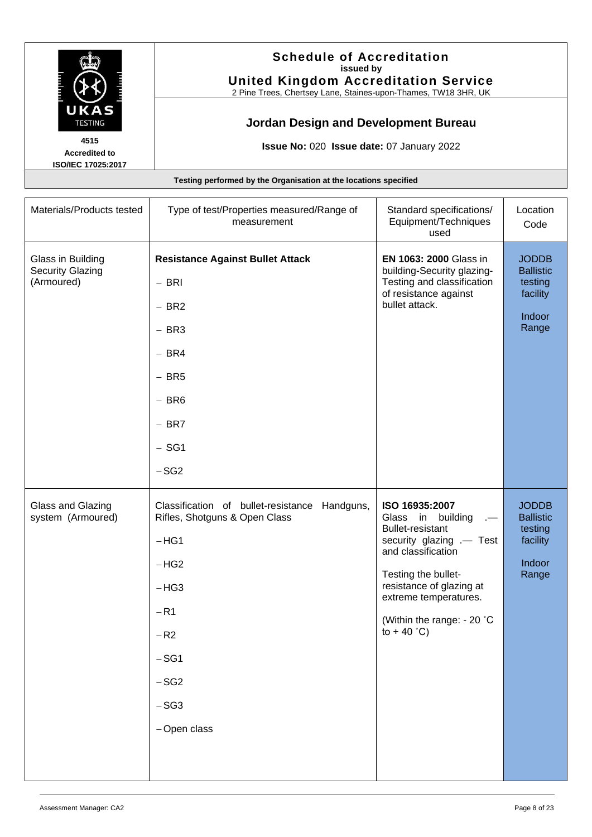

#### **Schedule of Accreditation issued by United Kingdom Accreditation Service**

2 Pine Trees, Chertsey Lane, Staines-upon-Thames, TW18 3HR, UK

# **Jordan Design and Development Bureau**

**Issue No:** 020 **Issue date:** 07 January 2022

| Materials/Products tested                                  | Type of test/Properties measured/Range of<br>measurement                                                                                                                    | Standard specifications/<br>Equipment/Techniques<br>used                                                                                                                                                                                                    | Location<br>Code                                                           |
|------------------------------------------------------------|-----------------------------------------------------------------------------------------------------------------------------------------------------------------------------|-------------------------------------------------------------------------------------------------------------------------------------------------------------------------------------------------------------------------------------------------------------|----------------------------------------------------------------------------|
| Glass in Building<br><b>Security Glazing</b><br>(Armoured) | <b>Resistance Against Bullet Attack</b><br>$-$ BRI<br>$- BR2$<br>$-$ BR3<br>$- BR4$<br>$-$ BR5<br>$-$ BR6<br>$-$ BR7<br>$-$ SG1<br>$-SG2$                                   | EN 1063: 2000 Glass in<br>building-Security glazing-<br>Testing and classification<br>of resistance against<br>bullet attack.                                                                                                                               | <b>JODDB</b><br><b>Ballistic</b><br>testing<br>facility<br>Indoor<br>Range |
| Glass and Glazing<br>system (Armoured)                     | Classification of bullet-resistance Handguns,<br>Rifles, Shotguns & Open Class<br>$-HG1$<br>$-HG2$<br>$-HG3$<br>$-R1$<br>$-R2$<br>$-SG1$<br>$-SG2$<br>$-SG3$<br>-Open class | ISO 16935:2007<br>Glass in building<br>$\sim$<br><b>Bullet-resistant</b><br>security glazing .- Test<br>and classification<br>Testing the bullet-<br>resistance of glazing at<br>extreme temperatures.<br>(Within the range: - 20 °C<br>to $+40^{\circ}$ C) | <b>JODDB</b><br><b>Ballistic</b><br>testing<br>facility<br>Indoor<br>Range |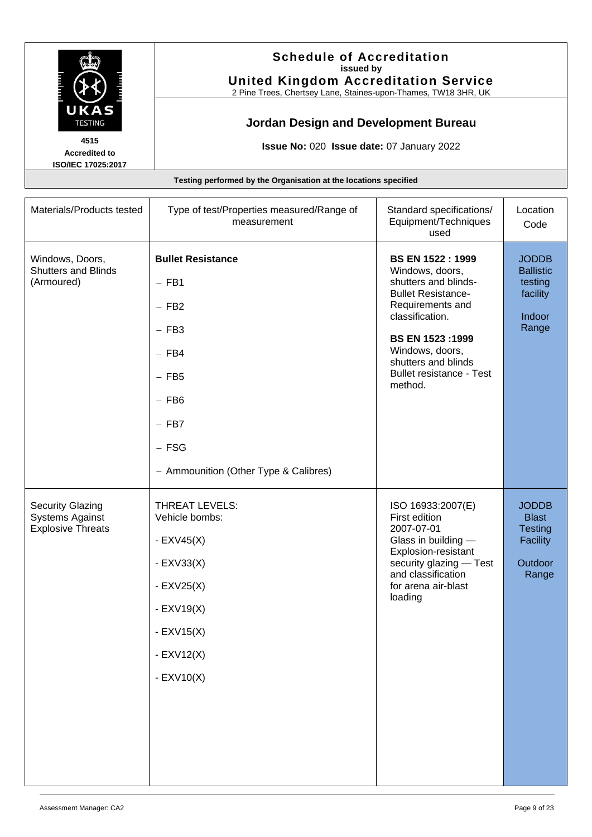

**Schedule of Accreditation issued by United Kingdom Accreditation Service**

2 Pine Trees, Chertsey Lane, Staines-upon-Thames, TW18 3HR, UK

# **Jordan Design and Development Bureau**

**Issue No:** 020 **Issue date:** 07 January 2022

**Accredited to ISO/IEC 17025:2017**

|  | Testing performed by the Organisation at the locations specified |
|--|------------------------------------------------------------------|
|  |                                                                  |

| Materials/Products tested                                                     | Type of test/Properties measured/Range of<br>measurement                                                                                                  | Standard specifications/<br>Equipment/Techniques<br>used                                                                                                                                                                                                 | Location<br>Code                                                               |
|-------------------------------------------------------------------------------|-----------------------------------------------------------------------------------------------------------------------------------------------------------|----------------------------------------------------------------------------------------------------------------------------------------------------------------------------------------------------------------------------------------------------------|--------------------------------------------------------------------------------|
| Windows, Doors,<br><b>Shutters and Blinds</b><br>(Armoured)                   | <b>Bullet Resistance</b><br>$-$ FB1<br>$-$ FB2<br>$-$ FB3<br>$-$ FB4<br>$-$ FB5<br>$-$ FB6<br>$-$ FB7<br>$-$ FSG<br>- Ammounition (Other Type & Calibres) | <b>BS EN 1522: 1999</b><br>Windows, doors,<br>shutters and blinds-<br><b>Bullet Resistance-</b><br>Requirements and<br>classification.<br><b>BS EN 1523:1999</b><br>Windows, doors,<br>shutters and blinds<br><b>Bullet resistance - Test</b><br>method. | <b>JODDB</b><br><b>Ballistic</b><br>testing<br>facility<br>Indoor<br>Range     |
| <b>Security Glazing</b><br><b>Systems Against</b><br><b>Explosive Threats</b> | THREAT LEVELS:<br>Vehicle bombs:<br>- $EXV45(X)$<br>$-$ EXV33(X)<br>$-$ EXV25(X)<br>$-$ EXV19 $(X)$<br>$-$ EXV15(X)<br>$-$ EXV12(X)<br>$-$ EXV10(X)       | ISO 16933:2007(E)<br>First edition<br>2007-07-01<br>Glass in building -<br>Explosion-resistant<br>security glazing - Test<br>and classification<br>for arena air-blast<br>loading                                                                        | <b>JODDB</b><br><b>Blast</b><br><b>Testing</b><br>Facility<br>Outdoor<br>Range |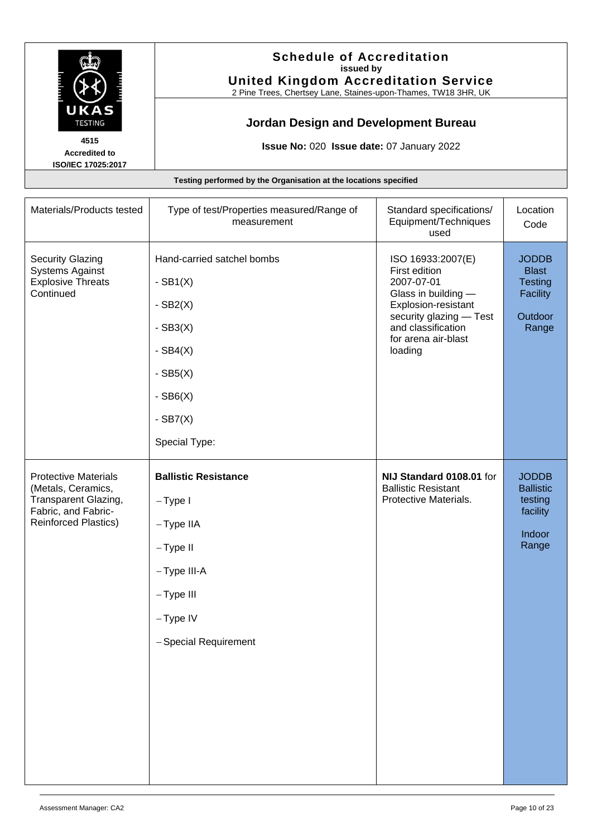

#### **Schedule of Accreditation issued by United Kingdom Accreditation Service**

2 Pine Trees, Chertsey Lane, Staines-upon-Thames, TW18 3HR, UK

# **Jordan Design and Development Bureau**

**Issue No:** 020 **Issue date:** 07 January 2022

| Materials/Products tested                                                                                                       | Type of test/Properties measured/Range of<br>measurement                                                                                  | Standard specifications/<br>Equipment/Techniques<br>used                                                                                                                          | Location<br>Code                                                               |
|---------------------------------------------------------------------------------------------------------------------------------|-------------------------------------------------------------------------------------------------------------------------------------------|-----------------------------------------------------------------------------------------------------------------------------------------------------------------------------------|--------------------------------------------------------------------------------|
| <b>Security Glazing</b><br><b>Systems Against</b><br><b>Explosive Threats</b><br>Continued                                      | Hand-carried satchel bombs<br>$-SB1(X)$<br>$-SB2(X)$<br>$-SB3(X)$<br>- $SB4(X)$<br>$-SB5(X)$<br>$-SB6(X)$<br>$-SB7(X)$<br>Special Type:   | ISO 16933:2007(E)<br>First edition<br>2007-07-01<br>Glass in building -<br>Explosion-resistant<br>security glazing - Test<br>and classification<br>for arena air-blast<br>loading | <b>JODDB</b><br><b>Blast</b><br><b>Testing</b><br>Facility<br>Outdoor<br>Range |
| <b>Protective Materials</b><br>(Metals, Ceramics,<br>Transparent Glazing,<br>Fabric, and Fabric-<br><b>Reinforced Plastics)</b> | <b>Ballistic Resistance</b><br>$-Type I$<br>$-Type$ IIA<br>- Type II<br>-Type III-A<br>$-Type III$<br>$-Type IV$<br>- Special Requirement | NIJ Standard 0108.01 for<br><b>Ballistic Resistant</b><br>Protective Materials.                                                                                                   | <b>JODDB</b><br><b>Ballistic</b><br>testing<br>facility<br>Indoor<br>Range     |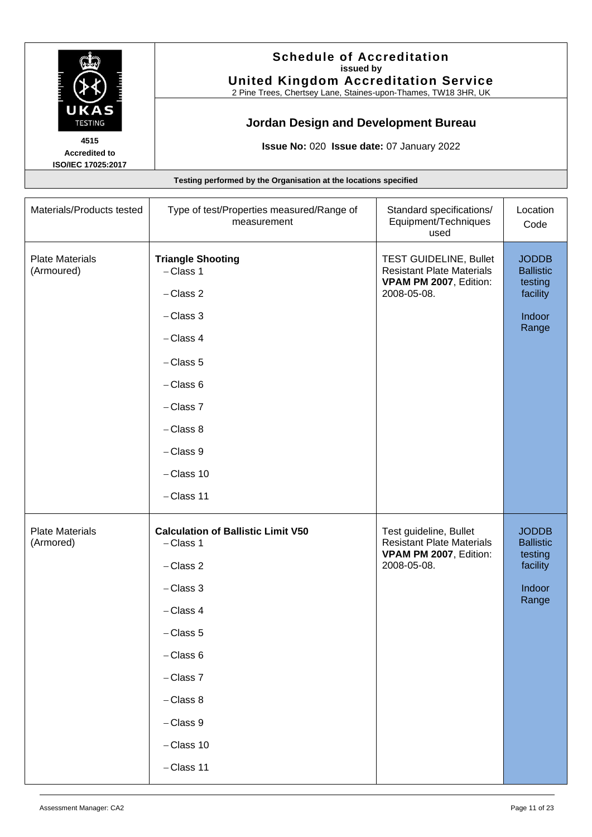

#### **Schedule of Accreditation issued by United Kingdom Accreditation Service**

2 Pine Trees, Chertsey Lane, Staines-upon-Thames, TW18 3HR, UK

# **Jordan Design and Development Bureau**

**Issue No:** 020 **Issue date:** 07 January 2022

| Materials/Products tested            | Type of test/Properties measured/Range of<br>measurement                                                                                                                                                            | Standard specifications/<br>Equipment/Techniques<br>used                                                   | Location<br>Code                                                           |
|--------------------------------------|---------------------------------------------------------------------------------------------------------------------------------------------------------------------------------------------------------------------|------------------------------------------------------------------------------------------------------------|----------------------------------------------------------------------------|
| <b>Plate Materials</b><br>(Armoured) | <b>Triangle Shooting</b><br>$-$ Class 1<br>$-$ Class 2<br>$-$ Class 3<br>$-$ Class 4<br>$-$ Class 5<br>$-$ Class 6<br>$-$ Class $7$<br>$-$ Class 8<br>$-$ Class $9$<br>$-$ Class 10<br>$-$ Class 11                 | <b>TEST GUIDELINE, Bullet</b><br><b>Resistant Plate Materials</b><br>VPAM PM 2007, Edition:<br>2008-05-08. | <b>JODDB</b><br><b>Ballistic</b><br>testing<br>facility<br>Indoor<br>Range |
| <b>Plate Materials</b><br>(Armored)  | <b>Calculation of Ballistic Limit V50</b><br>$-$ Class 1<br>$-$ Class 2<br>$-$ Class 3<br>$-$ Class 4<br>$-$ Class 5<br>$-$ Class 6<br>$-$ Class $7$<br>$-$ Class 8<br>$-$ Class $9$<br>$-Class 10$<br>$-$ Class 11 | Test guideline, Bullet<br><b>Resistant Plate Materials</b><br>VPAM PM 2007, Edition:<br>2008-05-08.        | <b>JODDB</b><br><b>Ballistic</b><br>testing<br>facility<br>Indoor<br>Range |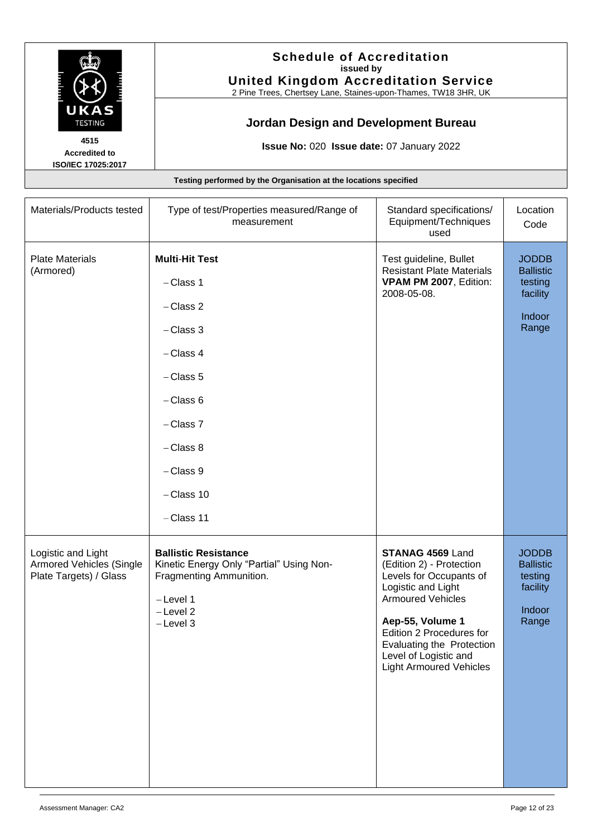

#### **Schedule of Accreditation issued by United Kingdom Accreditation Service**

2 Pine Trees, Chertsey Lane, Staines-upon-Thames, TW18 3HR, UK

# **Jordan Design and Development Bureau**

**Issue No:** 020 **Issue date:** 07 January 2022

Materials/Products tested Type of test/Properties measured/Range of measurement Standard specifications/ Equipment/Techniques used Plate Materials (Armored) **Multi**-**Hit Test** − Class 1 − Class 2 − Class 3 − Class 4 − Class 5 − Class 6 − Class 7 − Class 8 − Class 9 − Class 10 − Class 11 Test guideline, Bullet Resistant Plate Materials **VPAM PM 2007**, Edition: 2008-05-08.

**Testing performed by the Organisation at the locations specified**

Logistic and Light Armored Vehicles (Single Plate Targets) / Glass **Ballistic Resistance**  Kinetic Energy Only "Partial" Using Non-Fragmenting Ammunition. − Level 1 − Level 2 − Level 3 **STANAG 4569** Land (Edition 2) - Protection Levels for Occupants of Logistic and Light Armoured Vehicles **Aep-55, Volume 1** Edition 2 Procedures for Evaluating the Protection Level of Logistic and Light Armoured Vehicles JODDB **Ballistic** testing facility Indoor Range

Location Code

JODDB **Ballistic** testing facility

Indoor Range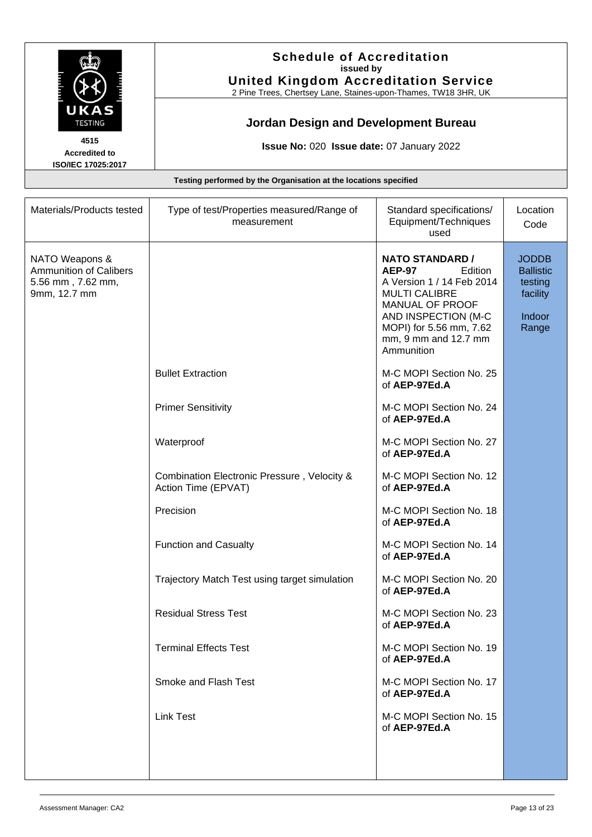

#### **Schedule of Accreditation issued by United Kingdom Accreditation Service**

2 Pine Trees, Chertsey Lane, Staines-upon-Thames, TW18 3HR, UK

# **Jordan Design and Development Bureau**

**Issue No:** 020 **Issue date:** 07 January 2022

| Materials/Products tested                                                            | Type of test/Properties measured/Range of<br>measurement                                                                                                                                                                                                                                                                                           | Standard specifications/<br>Equipment/Techniques<br>used                                                                                                                                                                                                                                                                                                                                                                                                                                                                                                                                                                                                                                                               | Location<br>Code                                                           |
|--------------------------------------------------------------------------------------|----------------------------------------------------------------------------------------------------------------------------------------------------------------------------------------------------------------------------------------------------------------------------------------------------------------------------------------------------|------------------------------------------------------------------------------------------------------------------------------------------------------------------------------------------------------------------------------------------------------------------------------------------------------------------------------------------------------------------------------------------------------------------------------------------------------------------------------------------------------------------------------------------------------------------------------------------------------------------------------------------------------------------------------------------------------------------------|----------------------------------------------------------------------------|
| NATO Weapons &<br><b>Ammunition of Calibers</b><br>5.56 mm, 7.62 mm,<br>9mm, 12.7 mm | <b>Bullet Extraction</b><br><b>Primer Sensitivity</b><br>Waterproof<br>Combination Electronic Pressure, Velocity &<br>Action Time (EPVAT)<br>Precision<br><b>Function and Casualty</b><br>Trajectory Match Test using target simulation<br><b>Residual Stress Test</b><br><b>Terminal Effects Test</b><br>Smoke and Flash Test<br><b>Link Test</b> | <b>NATO STANDARD /</b><br><b>AEP-97</b><br>Edition<br>A Version 1 / 14 Feb 2014<br><b>MULTI CALIBRE</b><br>MANUAL OF PROOF<br>AND INSPECTION (M-C<br>MOPI) for 5.56 mm, 7.62<br>mm, 9 mm and 12.7 mm<br>Ammunition<br>M-C MOPI Section No. 25<br>of AEP-97Ed.A<br>M-C MOPI Section No. 24<br>of AEP-97Ed.A<br>M-C MOPI Section No. 27<br>of AEP-97Ed.A<br>M-C MOPI Section No. 12<br>of AEP-97Ed.A<br>M-C MOPI Section No. 18<br>of AEP-97Ed.A<br>M-C MOPI Section No. 14<br>of AEP-97Ed.A<br>M-C MOPI Section No. 20<br>of AEP-97Ed.A<br>M-C MOPI Section No. 23<br>of AEP-97Ed.A<br>M-C MOPI Section No. 19<br>of AEP-97Ed.A<br>M-C MOPI Section No. 17<br>of AEP-97Ed.A<br>M-C MOPI Section No. 15<br>of AEP-97Ed.A | <b>JODDB</b><br><b>Ballistic</b><br>testing<br>facility<br>Indoor<br>Range |
|                                                                                      |                                                                                                                                                                                                                                                                                                                                                    |                                                                                                                                                                                                                                                                                                                                                                                                                                                                                                                                                                                                                                                                                                                        |                                                                            |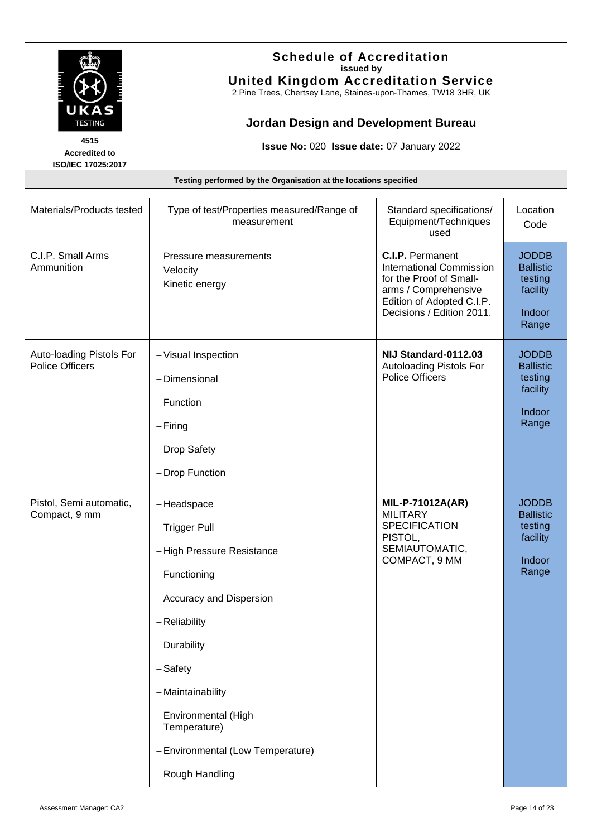

#### **Schedule of Accreditation issued by United Kingdom Accreditation Service**

2 Pine Trees, Chertsey Lane, Staines-upon-Thames, TW18 3HR, UK

# **Jordan Design and Development Bureau**

**Issue No:** 020 **Issue date:** 07 January 2022

| Materials/Products tested                          | Type of test/Properties measured/Range of<br>measurement                                                                                                                                                                                                                      | Standard specifications/<br>Equipment/Techniques<br>used                                                                                                                | Location<br>Code                                                           |
|----------------------------------------------------|-------------------------------------------------------------------------------------------------------------------------------------------------------------------------------------------------------------------------------------------------------------------------------|-------------------------------------------------------------------------------------------------------------------------------------------------------------------------|----------------------------------------------------------------------------|
| C.I.P. Small Arms<br>Ammunition                    | - Pressure measurements<br>- Velocity<br>-Kinetic energy                                                                                                                                                                                                                      | <b>C.I.P.</b> Permanent<br><b>International Commission</b><br>for the Proof of Small-<br>arms / Comprehensive<br>Edition of Adopted C.I.P.<br>Decisions / Edition 2011. | <b>JODDB</b><br><b>Ballistic</b><br>testing<br>facility<br>Indoor<br>Range |
| Auto-loading Pistols For<br><b>Police Officers</b> | - Visual Inspection<br>- Dimensional<br>$-$ Function<br>$-$ Firing<br>- Drop Safety<br>- Drop Function                                                                                                                                                                        | NIJ Standard-0112.03<br>Autoloading Pistols For<br><b>Police Officers</b>                                                                                               | <b>JODDB</b><br><b>Ballistic</b><br>testing<br>facility<br>Indoor<br>Range |
| Pistol, Semi automatic,<br>Compact, 9 mm           | -Headspace<br>- Trigger Pull<br>-High Pressure Resistance<br>- Functioning<br>- Accuracy and Dispersion<br>- Reliability<br>- Durability<br>$-$ Safety<br>- Maintainability<br>- Environmental (High<br>Temperature)<br>- Environmental (Low Temperature)<br>- Rough Handling | <b>MIL-P-71012A(AR)</b><br><b>MILITARY</b><br><b>SPECIFICATION</b><br>PISTOL,<br>SEMIAUTOMATIC,<br>COMPACT, 9 MM                                                        | <b>JODDB</b><br><b>Ballistic</b><br>testing<br>facility<br>Indoor<br>Range |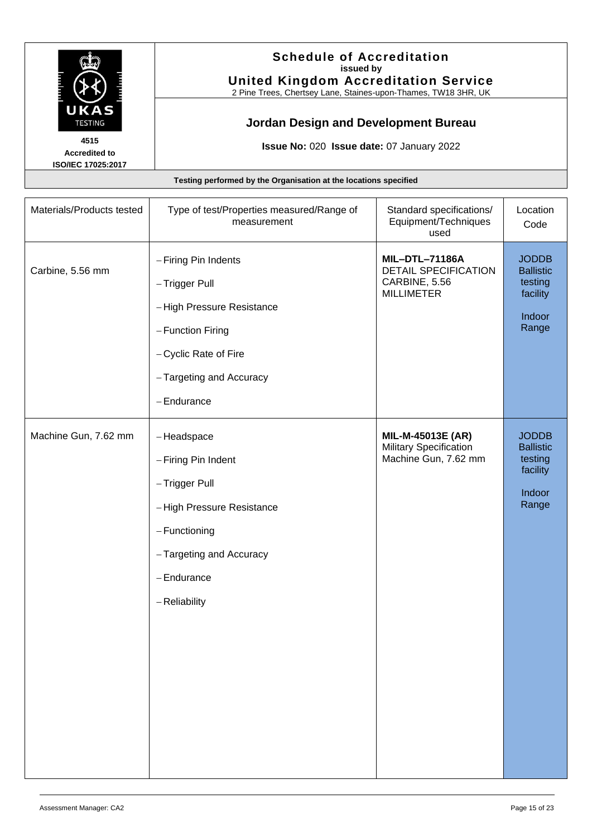

#### **Schedule of Accreditation issued by United Kingdom Accreditation Service**

2 Pine Trees, Chertsey Lane, Staines-upon-Thames, TW18 3HR, UK

# **Jordan Design and Development Bureau**

**Issue No:** 020 **Issue date:** 07 January 2022

| Materials/Products tested | Type of test/Properties measured/Range of<br>measurement                                                                                                          | Standard specifications/<br>Equipment/Techniques<br>used                            | Location<br>Code                                                           |
|---------------------------|-------------------------------------------------------------------------------------------------------------------------------------------------------------------|-------------------------------------------------------------------------------------|----------------------------------------------------------------------------|
| Carbine, 5.56 mm          | - Firing Pin Indents<br>- Trigger Pull<br>-High Pressure Resistance<br>- Function Firing<br>- Cyclic Rate of Fire<br>- Targeting and Accuracy<br>- Endurance      | <b>MIL-DTL-71186A</b><br>DETAIL SPECIFICATION<br>CARBINE, 5.56<br><b>MILLIMETER</b> | <b>JODDB</b><br><b>Ballistic</b><br>testing<br>facility<br>Indoor<br>Range |
| Machine Gun, 7.62 mm      | -Headspace<br>- Firing Pin Indent<br>- Trigger Pull<br>-High Pressure Resistance<br>$-$ Functioning<br>- Targeting and Accuracy<br>$-$ Endurance<br>- Reliability | MIL-M-45013E (AR)<br><b>Military Specification</b><br>Machine Gun, 7.62 mm          | <b>JODDB</b><br><b>Ballistic</b><br>testing<br>facility<br>Indoor<br>Range |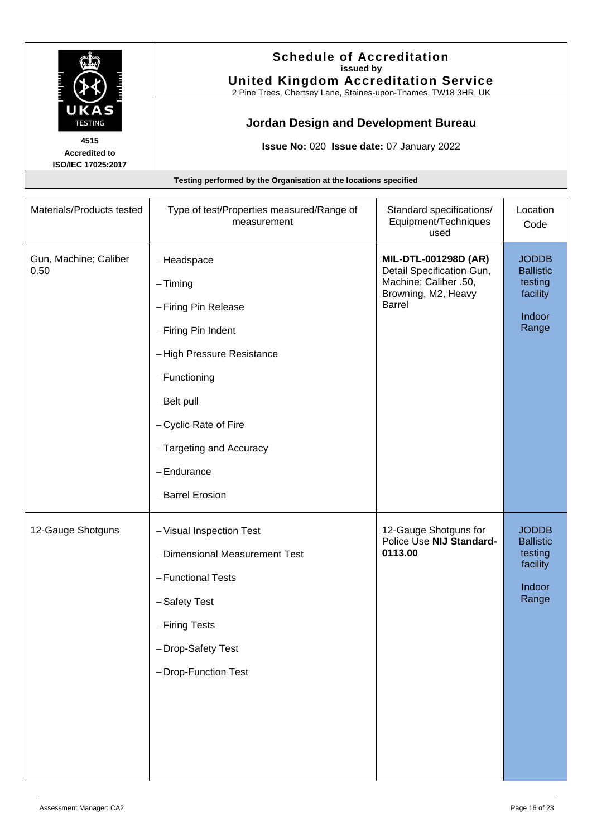

#### **Schedule of Accreditation issued by United Kingdom Accreditation Service**

2 Pine Trees, Chertsey Lane, Staines-upon-Thames, TW18 3HR, UK

# **Jordan Design and Development Bureau**

**Issue No:** 020 **Issue date:** 07 January 2022

| Materials/Products tested     | Type of test/Properties measured/Range of<br>measurement                                                                                                                                                                         | Standard specifications/<br>Equipment/Techniques<br>used                                                           | Location<br>Code                                                           |
|-------------------------------|----------------------------------------------------------------------------------------------------------------------------------------------------------------------------------------------------------------------------------|--------------------------------------------------------------------------------------------------------------------|----------------------------------------------------------------------------|
| Gun, Machine; Caliber<br>0.50 | -Headspace<br>$-$ Timing<br>- Firing Pin Release<br>- Firing Pin Indent<br>-High Pressure Resistance<br>$-$ Functioning<br>- Belt pull<br>- Cyclic Rate of Fire<br>- Targeting and Accuracy<br>$-$ Endurance<br>- Barrel Erosion | MIL-DTL-001298D (AR)<br>Detail Specification Gun,<br>Machine; Caliber .50,<br>Browning, M2, Heavy<br><b>Barrel</b> | <b>JODDB</b><br><b>Ballistic</b><br>testing<br>facility<br>Indoor<br>Range |
| 12-Gauge Shotguns             | - Visual Inspection Test<br>- Dimensional Measurement Test<br>- Functional Tests<br>-Safety Test<br>- Firing Tests<br>- Drop-Safety Test<br>- Drop-Function Test                                                                 | 12-Gauge Shotguns for<br>Police Use NIJ Standard-<br>0113.00                                                       | <b>JODDB</b><br><b>Ballistic</b><br>testing<br>facility<br>Indoor<br>Range |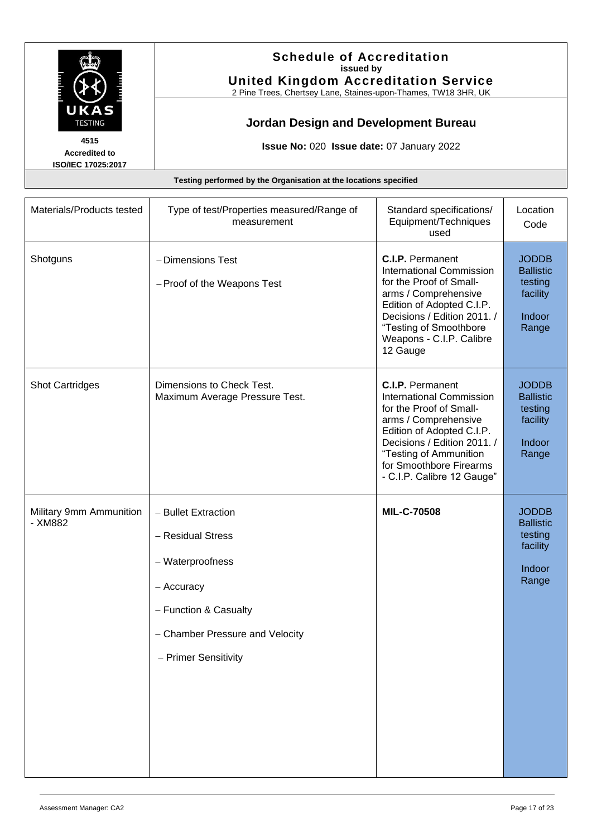

#### **Schedule of Accreditation issued by United Kingdom Accreditation Service**

2 Pine Trees, Chertsey Lane, Staines-upon-Thames, TW18 3HR, UK

# **Jordan Design and Development Bureau**

**Issue No:** 020 **Issue date:** 07 January 2022

| Materials/Products tested          | Type of test/Properties measured/Range of<br>measurement                                                                                                       | Standard specifications/<br>Equipment/Techniques<br>used                                                                                                                                                                                                     | Location<br>Code                                                           |
|------------------------------------|----------------------------------------------------------------------------------------------------------------------------------------------------------------|--------------------------------------------------------------------------------------------------------------------------------------------------------------------------------------------------------------------------------------------------------------|----------------------------------------------------------------------------|
| Shotguns                           | - Dimensions Test<br>- Proof of the Weapons Test                                                                                                               | <b>C.I.P.</b> Permanent<br><b>International Commission</b><br>for the Proof of Small-<br>arms / Comprehensive<br>Edition of Adopted C.I.P.<br>Decisions / Edition 2011. /<br>"Testing of Smoothbore<br>Weapons - C.I.P. Calibre<br>12 Gauge                  | <b>JODDB</b><br><b>Ballistic</b><br>testing<br>facility<br>Indoor<br>Range |
| <b>Shot Cartridges</b>             | Dimensions to Check Test.<br>Maximum Average Pressure Test.                                                                                                    | <b>C.I.P.</b> Permanent<br><b>International Commission</b><br>for the Proof of Small-<br>arms / Comprehensive<br>Edition of Adopted C.I.P.<br>Decisions / Edition 2011. /<br>"Testing of Ammunition<br>for Smoothbore Firearms<br>- C.I.P. Calibre 12 Gauge" | <b>JODDB</b><br><b>Ballistic</b><br>testing<br>facility<br>Indoor<br>Range |
| Military 9mm Ammunition<br>- XM882 | - Bullet Extraction<br>- Residual Stress<br>- Waterproofness<br>- Accuracy<br>- Function & Casualty<br>- Chamber Pressure and Velocity<br>- Primer Sensitivity | <b>MIL-C-70508</b>                                                                                                                                                                                                                                           | <b>JODDB</b><br><b>Ballistic</b><br>testing<br>facility<br>Indoor<br>Range |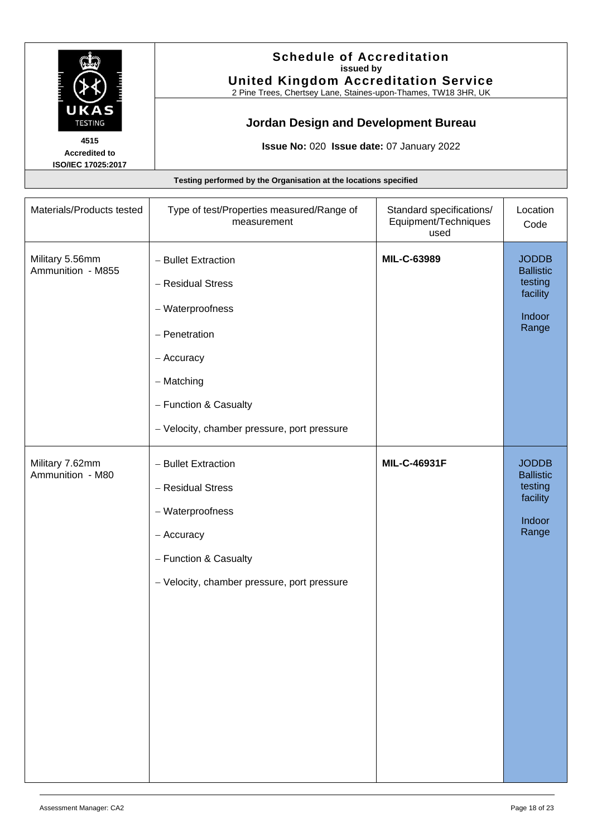

#### **Schedule of Accreditation issued by United Kingdom Accreditation Service**

2 Pine Trees, Chertsey Lane, Staines-upon-Thames, TW18 3HR, UK

# **Jordan Design and Development Bureau**

**Issue No:** 020 **Issue date:** 07 January 2022

| Materials/Products tested            | Type of test/Properties measured/Range of<br>measurement                                                                                                                          | Standard specifications/<br>Equipment/Techniques<br>used | Location<br>Code                                                           |
|--------------------------------------|-----------------------------------------------------------------------------------------------------------------------------------------------------------------------------------|----------------------------------------------------------|----------------------------------------------------------------------------|
| Military 5.56mm<br>Ammunition - M855 | - Bullet Extraction<br>- Residual Stress<br>- Waterproofness<br>- Penetration<br>- Accuracy<br>- Matching<br>- Function & Casualty<br>- Velocity, chamber pressure, port pressure | MIL-C-63989                                              | <b>JODDB</b><br><b>Ballistic</b><br>testing<br>facility<br>Indoor<br>Range |
| Military 7.62mm<br>Ammunition - M80  | - Bullet Extraction<br>- Residual Stress<br>- Waterproofness<br>- Accuracy<br>- Function & Casualty<br>- Velocity, chamber pressure, port pressure                                | MIL-C-46931F                                             | <b>JODDB</b><br><b>Ballistic</b><br>testing<br>facility<br>Indoor<br>Range |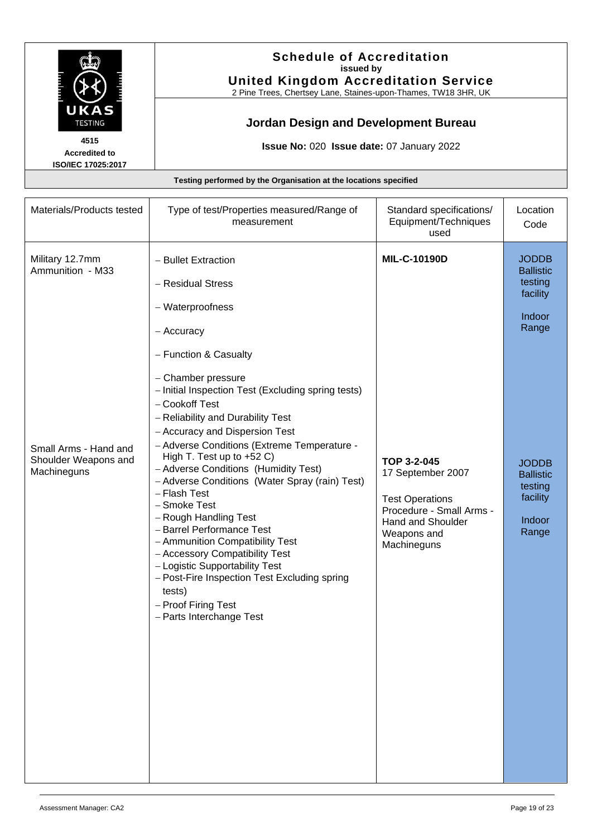

#### **Schedule of Accreditation issued by United Kingdom Accreditation Service**

2 Pine Trees, Chertsey Lane, Staines-upon-Thames, TW18 3HR, UK

# **Jordan Design and Development Bureau**

**Issue No:** 020 **Issue date:** 07 January 2022

| Testing performed by the Organisation at the locations specified                                    |                                                                                                                                                                                                                                                                                                                                                                                                                                                                                                                                                                                                                                                                                                                                                            |                                                                                                                                                           |                                                                                                                                                          |
|-----------------------------------------------------------------------------------------------------|------------------------------------------------------------------------------------------------------------------------------------------------------------------------------------------------------------------------------------------------------------------------------------------------------------------------------------------------------------------------------------------------------------------------------------------------------------------------------------------------------------------------------------------------------------------------------------------------------------------------------------------------------------------------------------------------------------------------------------------------------------|-----------------------------------------------------------------------------------------------------------------------------------------------------------|----------------------------------------------------------------------------------------------------------------------------------------------------------|
| Materials/Products tested                                                                           | Type of test/Properties measured/Range of<br>measurement                                                                                                                                                                                                                                                                                                                                                                                                                                                                                                                                                                                                                                                                                                   | Standard specifications/<br>Equipment/Techniques<br>used                                                                                                  | Location<br>Code                                                                                                                                         |
| Military 12.7mm<br>Ammunition - M33<br>Small Arms - Hand and<br>Shoulder Weapons and<br>Machineguns | - Bullet Extraction<br>- Residual Stress<br>- Waterproofness<br>- Accuracy<br>- Function & Casualty<br>- Chamber pressure<br>- Initial Inspection Test (Excluding spring tests)<br>- Cookoff Test<br>- Reliability and Durability Test<br>- Accuracy and Dispersion Test<br>- Adverse Conditions (Extreme Temperature -<br>High T. Test up to $+52$ C)<br>- Adverse Conditions (Humidity Test)<br>- Adverse Conditions (Water Spray (rain) Test)<br>- Flash Test<br>- Smoke Test<br>- Rough Handling Test<br>- Barrel Performance Test<br>- Ammunition Compatibility Test<br>- Accessory Compatibility Test<br>- Logistic Supportability Test<br>- Post-Fire Inspection Test Excluding spring<br>tests)<br>- Proof Firing Test<br>- Parts Interchange Test | MIL-C-10190D<br>TOP 3-2-045<br>17 September 2007<br><b>Test Operations</b><br>Procedure - Small Arms -<br>Hand and Shoulder<br>Weapons and<br>Machineguns | <b>JODDB</b><br><b>Ballistic</b><br>testing<br>facility<br>Indoor<br>Range<br><b>JODDB</b><br><b>Ballistic</b><br>testing<br>facility<br>Indoor<br>Range |
|                                                                                                     |                                                                                                                                                                                                                                                                                                                                                                                                                                                                                                                                                                                                                                                                                                                                                            |                                                                                                                                                           |                                                                                                                                                          |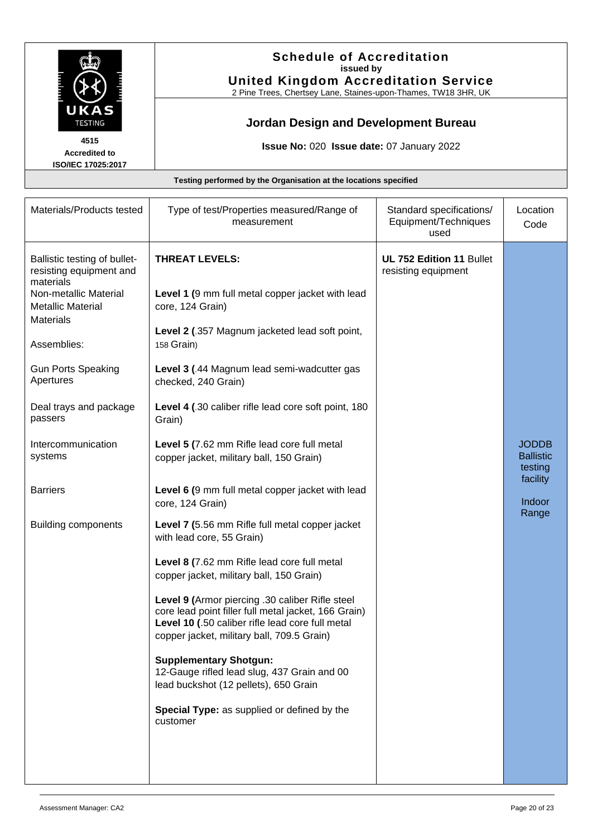

#### **Schedule of Accreditation issued by United Kingdom Accreditation Service**

2 Pine Trees, Chertsey Lane, Staines-upon-Thames, TW18 3HR, UK

# **Jordan Design and Development Bureau**

**Issue No:** 020 **Issue date:** 07 January 2022

| Testing performed by the Organisation at the locations specified                                                                                                                                                                            |                                                                                                                                                                                                                                                                                                                                                                                                                                                                                                                              |                                                          |                                                         |
|---------------------------------------------------------------------------------------------------------------------------------------------------------------------------------------------------------------------------------------------|------------------------------------------------------------------------------------------------------------------------------------------------------------------------------------------------------------------------------------------------------------------------------------------------------------------------------------------------------------------------------------------------------------------------------------------------------------------------------------------------------------------------------|----------------------------------------------------------|---------------------------------------------------------|
| Materials/Products tested                                                                                                                                                                                                                   | Type of test/Properties measured/Range of<br>measurement                                                                                                                                                                                                                                                                                                                                                                                                                                                                     | Standard specifications/<br>Equipment/Techniques<br>used | Location<br>Code                                        |
| Ballistic testing of bullet-<br>resisting equipment and<br>materials<br>Non-metallic Material<br><b>Metallic Material</b><br><b>Materials</b><br>Assemblies:<br><b>Gun Ports Speaking</b><br>Apertures<br>Deal trays and package<br>passers | <b>THREAT LEVELS:</b><br>Level 1 (9 mm full metal copper jacket with lead<br>core, 124 Grain)<br>Level 2 (.357 Magnum jacketed lead soft point,<br>158 Grain)<br>Level 3 (.44 Magnum lead semi-wadcutter gas<br>checked, 240 Grain)<br>Level 4 (.30 caliber rifle lead core soft point, 180<br>Grain)                                                                                                                                                                                                                        | <b>UL 752 Edition 11 Bullet</b><br>resisting equipment   |                                                         |
| Intercommunication<br>systems                                                                                                                                                                                                               | Level 5 (7.62 mm Rifle lead core full metal<br>copper jacket, military ball, 150 Grain)                                                                                                                                                                                                                                                                                                                                                                                                                                      |                                                          | <b>JODDB</b><br><b>Ballistic</b><br>testing<br>facility |
| <b>Barriers</b><br><b>Building components</b>                                                                                                                                                                                               | Level 6 (9 mm full metal copper jacket with lead<br>core, 124 Grain)<br>Level 7 (5.56 mm Rifle full metal copper jacket                                                                                                                                                                                                                                                                                                                                                                                                      |                                                          | Indoor<br>Range                                         |
|                                                                                                                                                                                                                                             | with lead core, 55 Grain)<br>Level 8 (7.62 mm Rifle lead core full metal<br>copper jacket, military ball, 150 Grain)<br>Level 9 (Armor piercing .30 caliber Rifle steel<br>core lead point filler full metal jacket, 166 Grain)<br><b>Level 10 (.50 caliber rifle lead core full metal</b><br>copper jacket, military ball, 709.5 Grain)<br><b>Supplementary Shotgun:</b><br>12-Gauge rifled lead slug, 437 Grain and 00<br>lead buckshot (12 pellets), 650 Grain<br>Special Type: as supplied or defined by the<br>customer |                                                          |                                                         |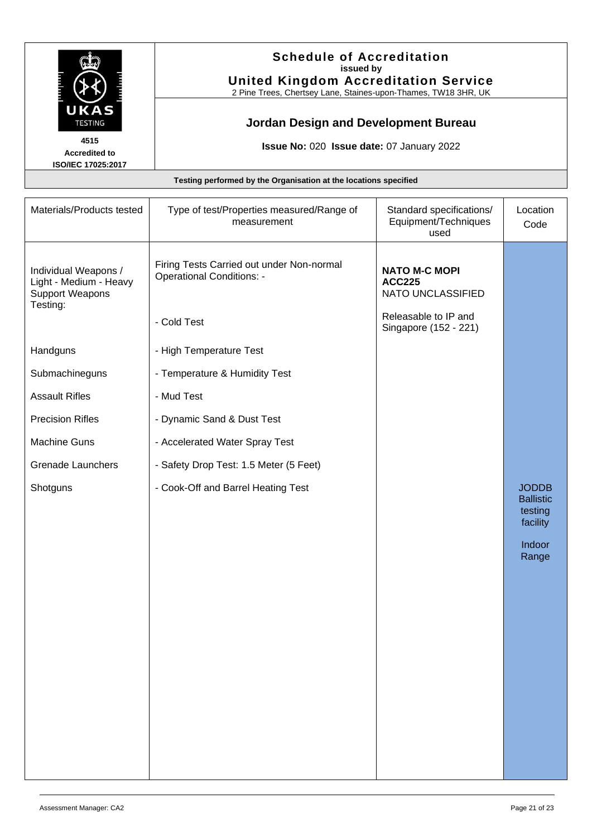

#### **Schedule of Accreditation issued by United Kingdom Accreditation Service**

2 Pine Trees, Chertsey Lane, Staines-upon-Thames, TW18 3HR, UK

# **Jordan Design and Development Bureau**

**Issue No:** 020 **Issue date:** 07 January 2022

| Materials/Products tested<br>Type of test/Properties measured/Range of<br>Standard specifications/<br>Equipment/Techniques<br>measurement<br>used<br>Firing Tests Carried out under Non-normal<br><b>NATO M-C MOPI</b><br>Individual Weapons /<br><b>Operational Conditions: -</b><br>Light - Medium - Heavy<br><b>ACC225</b><br><b>Support Weapons</b><br>NATO UNCLASSIFIED<br>Testing:<br>Releasable to IP and<br>- Cold Test<br>Singapore (152 - 221)<br>- High Temperature Test<br>Handguns<br>Submachineguns<br>- Temperature & Humidity Test<br><b>Assault Rifles</b><br>- Mud Test<br><b>Precision Rifles</b><br>- Dynamic Sand & Dust Test<br><b>Machine Guns</b><br>- Accelerated Water Spray Test<br><b>Grenade Launchers</b><br>- Safety Drop Test: 1.5 Meter (5 Feet)<br>- Cook-Off and Barrel Heating Test<br>Shotguns | Testing performed by the Organisation at the locations specified |  |  |                                                                            |
|-------------------------------------------------------------------------------------------------------------------------------------------------------------------------------------------------------------------------------------------------------------------------------------------------------------------------------------------------------------------------------------------------------------------------------------------------------------------------------------------------------------------------------------------------------------------------------------------------------------------------------------------------------------------------------------------------------------------------------------------------------------------------------------------------------------------------------------|------------------------------------------------------------------|--|--|----------------------------------------------------------------------------|
|                                                                                                                                                                                                                                                                                                                                                                                                                                                                                                                                                                                                                                                                                                                                                                                                                                     |                                                                  |  |  | Location<br>Code                                                           |
|                                                                                                                                                                                                                                                                                                                                                                                                                                                                                                                                                                                                                                                                                                                                                                                                                                     |                                                                  |  |  |                                                                            |
|                                                                                                                                                                                                                                                                                                                                                                                                                                                                                                                                                                                                                                                                                                                                                                                                                                     |                                                                  |  |  |                                                                            |
|                                                                                                                                                                                                                                                                                                                                                                                                                                                                                                                                                                                                                                                                                                                                                                                                                                     |                                                                  |  |  |                                                                            |
|                                                                                                                                                                                                                                                                                                                                                                                                                                                                                                                                                                                                                                                                                                                                                                                                                                     |                                                                  |  |  |                                                                            |
|                                                                                                                                                                                                                                                                                                                                                                                                                                                                                                                                                                                                                                                                                                                                                                                                                                     |                                                                  |  |  |                                                                            |
|                                                                                                                                                                                                                                                                                                                                                                                                                                                                                                                                                                                                                                                                                                                                                                                                                                     |                                                                  |  |  |                                                                            |
|                                                                                                                                                                                                                                                                                                                                                                                                                                                                                                                                                                                                                                                                                                                                                                                                                                     |                                                                  |  |  |                                                                            |
|                                                                                                                                                                                                                                                                                                                                                                                                                                                                                                                                                                                                                                                                                                                                                                                                                                     |                                                                  |  |  |                                                                            |
|                                                                                                                                                                                                                                                                                                                                                                                                                                                                                                                                                                                                                                                                                                                                                                                                                                     |                                                                  |  |  | <b>JODDB</b><br><b>Ballistic</b><br>testing<br>facility<br>Indoor<br>Range |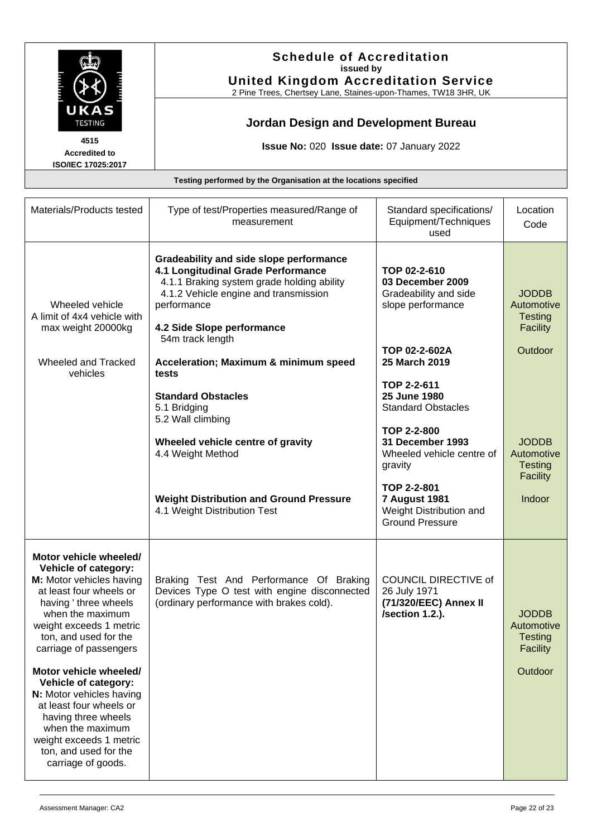